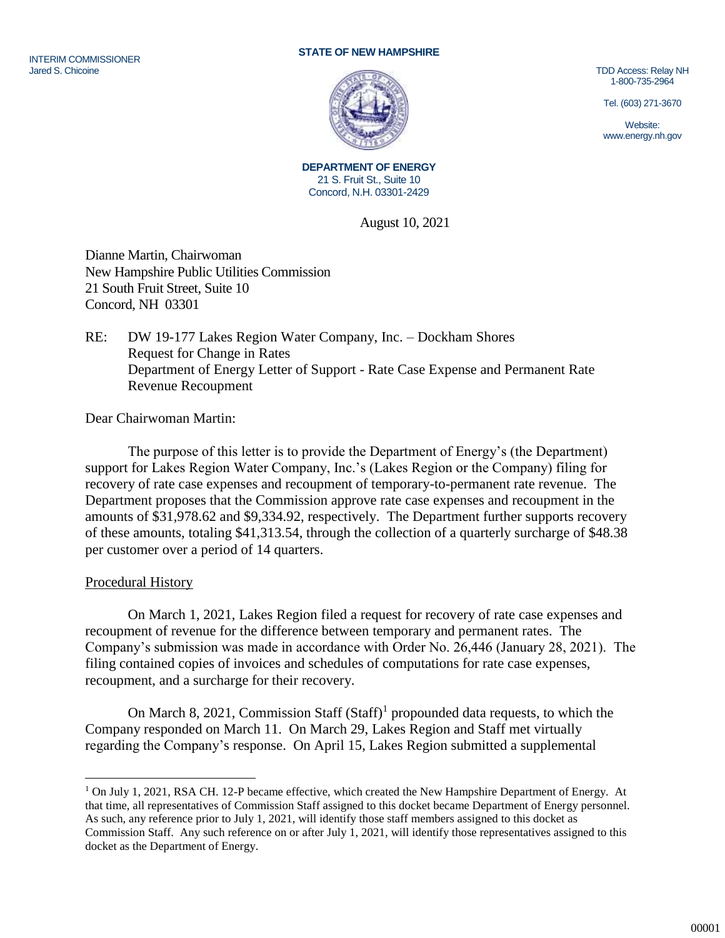#### INTERIM COMMISSIONER Jared S. Chicoine

#### **STATE OF NEW HAMPSHIRE**



TDD Access: Relay NH 1-800-735-2964

Tel. (603) 271-3670

Website: www.energy.nh.gov

**DEPARTMENT OF ENERGY** 21 S. Fruit St., Suite 10 Concord, N.H. 03301-2429

August 10, 2021

Dianne Martin, Chairwoman New Hampshire Public Utilities Commission 21 South Fruit Street, Suite 10 Concord, NH 03301

## RE: DW 19-177 Lakes Region Water Company, Inc. – Dockham Shores Request for Change in Rates Department of Energy Letter of Support - Rate Case Expense and Permanent Rate Revenue Recoupment

Dear Chairwoman Martin:

The purpose of this letter is to provide the Department of Energy's (the Department) support for Lakes Region Water Company, Inc.'s (Lakes Region or the Company) filing for recovery of rate case expenses and recoupment of temporary-to-permanent rate revenue. The Department proposes that the Commission approve rate case expenses and recoupment in the amounts of \$31,978.62 and \$9,334.92, respectively. The Department further supports recovery of these amounts, totaling \$41,313.54, through the collection of a quarterly surcharge of \$48.38 per customer over a period of 14 quarters.

## Procedural History

 $\overline{a}$ 

On March 1, 2021, Lakes Region filed a request for recovery of rate case expenses and recoupment of revenue for the difference between temporary and permanent rates. The Company's submission was made in accordance with Order No. 26,446 (January 28, 2021). The filing contained copies of invoices and schedules of computations for rate case expenses, recoupment, and a surcharge for their recovery.

On March 8, 2021, Commission Staff  $(Staff)^1$  propounded data requests, to which the Company responded on March 11. On March 29, Lakes Region and Staff met virtually regarding the Company's response. On April 15, Lakes Region submitted a supplemental

<sup>&</sup>lt;sup>1</sup> On July 1, 2021, RSA CH. 12-P became effective, which created the New Hampshire Department of Energy. At that time, all representatives of Commission Staff assigned to this docket became Department of Energy personnel. As such, any reference prior to July 1, 2021, will identify those staff members assigned to this docket as Commission Staff. Any such reference on or after July 1, 2021, will identify those representatives assigned to this docket as the Department of Energy.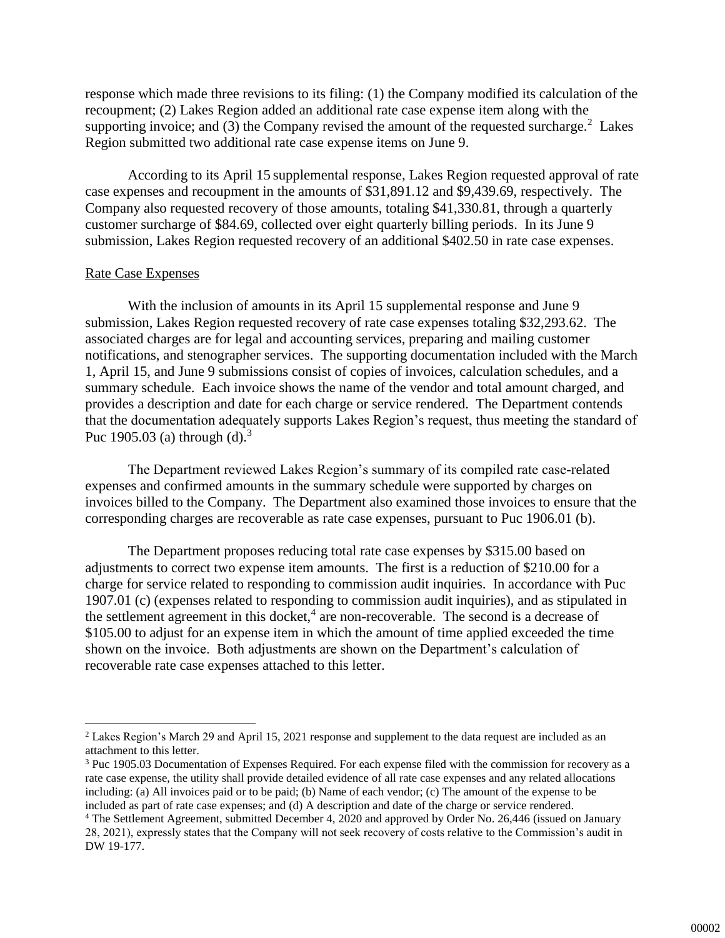response which made three revisions to its filing: (1) the Company modified its calculation of the recoupment; (2) Lakes Region added an additional rate case expense item along with the supporting invoice; and (3) the Company revised the amount of the requested surcharge.<sup>2</sup> Lakes Region submitted two additional rate case expense items on June 9.

According to its April 15 supplemental response, Lakes Region requested approval of rate case expenses and recoupment in the amounts of \$31,891.12 and \$9,439.69, respectively. The Company also requested recovery of those amounts, totaling \$41,330.81, through a quarterly customer surcharge of \$84.69, collected over eight quarterly billing periods. In its June 9 submission, Lakes Region requested recovery of an additional \$402.50 in rate case expenses.

### Rate Case Expenses

 $\overline{a}$ 

With the inclusion of amounts in its April 15 supplemental response and June 9 submission, Lakes Region requested recovery of rate case expenses totaling \$32,293.62. The associated charges are for legal and accounting services, preparing and mailing customer notifications, and stenographer services. The supporting documentation included with the March 1, April 15, and June 9 submissions consist of copies of invoices, calculation schedules, and a summary schedule. Each invoice shows the name of the vendor and total amount charged, and provides a description and date for each charge or service rendered. The Department contends that the documentation adequately supports Lakes Region's request, thus meeting the standard of Puc 1905.03 (a) through (d).<sup>3</sup>

The Department reviewed Lakes Region's summary of its compiled rate case-related expenses and confirmed amounts in the summary schedule were supported by charges on invoices billed to the Company. The Department also examined those invoices to ensure that the corresponding charges are recoverable as rate case expenses, pursuant to Puc 1906.01 (b).

The Department proposes reducing total rate case expenses by \$315.00 based on adjustments to correct two expense item amounts. The first is a reduction of \$210.00 for a charge for service related to responding to commission audit inquiries. In accordance with Puc 1907.01 (c) (expenses related to responding to commission audit inquiries), and as stipulated in the settlement agreement in this docket, $4$  are non-recoverable. The second is a decrease of \$105.00 to adjust for an expense item in which the amount of time applied exceeded the time shown on the invoice. Both adjustments are shown on the Department's calculation of recoverable rate case expenses attached to this letter.

<sup>2</sup> Lakes Region's March 29 and April 15, 2021 response and supplement to the data request are included as an attachment to this letter.

<sup>3</sup> Puc 1905.03 Documentation of Expenses Required. For each expense filed with the commission for recovery as a rate case expense, the utility shall provide detailed evidence of all rate case expenses and any related allocations including: (a) All invoices paid or to be paid; (b) Name of each vendor; (c) The amount of the expense to be included as part of rate case expenses; and (d) A description and date of the charge or service rendered.

<sup>4</sup> The Settlement Agreement, submitted December 4, 2020 and approved by Order No. 26,446 (issued on January 28, 2021), expressly states that the Company will not seek recovery of costs relative to the Commission's audit in DW 19-177.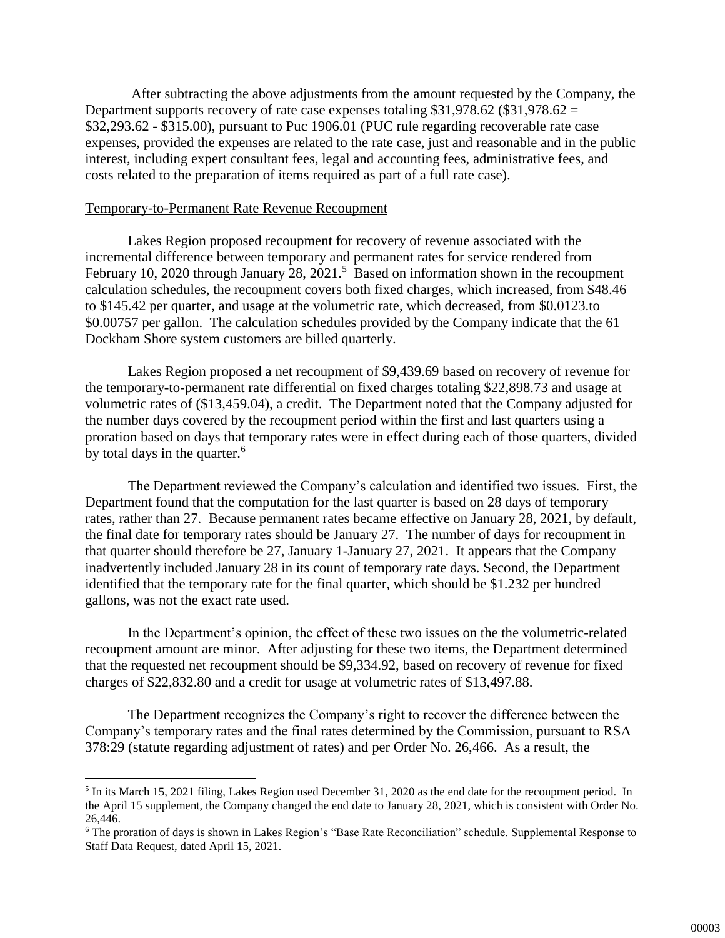After subtracting the above adjustments from the amount requested by the Company, the Department supports recovery of rate case expenses totaling  $$31,978.62$  ( $$31,978.62 =$ \$32,293.62 - \$315.00), pursuant to Puc 1906.01 (PUC rule regarding recoverable rate case expenses, provided the expenses are related to the rate case, just and reasonable and in the public interest, including expert consultant fees, legal and accounting fees, administrative fees, and costs related to the preparation of items required as part of a full rate case).

#### Temporary-to-Permanent Rate Revenue Recoupment

 $\overline{a}$ 

Lakes Region proposed recoupment for recovery of revenue associated with the incremental difference between temporary and permanent rates for service rendered from February 10, 2020 through January 28, 2021.<sup>5</sup> Based on information shown in the recoupment calculation schedules, the recoupment covers both fixed charges, which increased, from \$48.46 to \$145.42 per quarter, and usage at the volumetric rate, which decreased, from \$0.0123.to \$0.00757 per gallon. The calculation schedules provided by the Company indicate that the 61 Dockham Shore system customers are billed quarterly.

Lakes Region proposed a net recoupment of \$9,439.69 based on recovery of revenue for the temporary-to-permanent rate differential on fixed charges totaling \$22,898.73 and usage at volumetric rates of (\$13,459.04), a credit. The Department noted that the Company adjusted for the number days covered by the recoupment period within the first and last quarters using a proration based on days that temporary rates were in effect during each of those quarters, divided by total days in the quarter.<sup>6</sup>

The Department reviewed the Company's calculation and identified two issues. First, the Department found that the computation for the last quarter is based on 28 days of temporary rates, rather than 27. Because permanent rates became effective on January 28, 2021, by default, the final date for temporary rates should be January 27. The number of days for recoupment in that quarter should therefore be 27, January 1-January 27, 2021. It appears that the Company inadvertently included January 28 in its count of temporary rate days. Second, the Department identified that the temporary rate for the final quarter, which should be \$1.232 per hundred gallons, was not the exact rate used.

In the Department's opinion, the effect of these two issues on the the volumetric-related recoupment amount are minor. After adjusting for these two items, the Department determined that the requested net recoupment should be \$9,334.92, based on recovery of revenue for fixed charges of \$22,832.80 and a credit for usage at volumetric rates of \$13,497.88.

The Department recognizes the Company's right to recover the difference between the Company's temporary rates and the final rates determined by the Commission, pursuant to RSA 378:29 (statute regarding adjustment of rates) and per Order No. 26,466. As a result, the

<sup>&</sup>lt;sup>5</sup> In its March 15, 2021 filing, Lakes Region used December 31, 2020 as the end date for the recoupment period. In the April 15 supplement, the Company changed the end date to January 28, 2021, which is consistent with Order No. 26,446.

<sup>6</sup> The proration of days is shown in Lakes Region's "Base Rate Reconciliation" schedule. Supplemental Response to Staff Data Request, dated April 15, 2021.